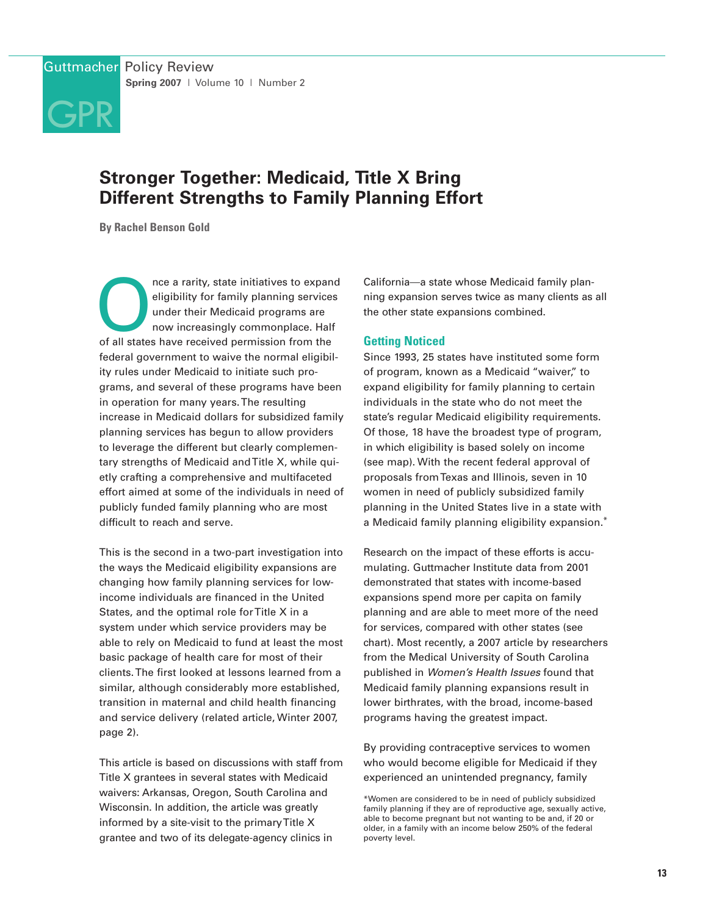

# **Stronger Together: Medicaid, Title X Bring Different Strengths to Family Planning Effort**

**By Rachel Benson Gold**

The a rarity, state initiatives to expand<br>
eligibility for family planning services<br>
under their Medicaid programs are<br>
now increasingly commonplace. Half<br>
of all states have received permission from the eligibility for family planning services under their Medicaid programs are now increasingly commonplace. Half federal government to waive the normal eligibility rules under Medicaid to initiate such programs, and several of these programs have been in operation for many years. The resulting increase in Medicaid dollars for subsidized family planning services has begun to allow providers to leverage the different but clearly complementary strengths of Medicaid and Title X, while quietly crafting a comprehensive and multifaceted effort aimed at some of the individuals in need of publicly funded family planning who are most difficult to reach and serve.

This is the second in a two-part investigation into the ways the Medicaid eligibility expansions are changing how family planning services for lowincome individuals are financed in the United States, and the optimal role for Title X in a system under which service providers may be able to rely on Medicaid to fund at least the most basic package of health care for most of their clients. The first looked at lessons learned from a similar, although considerably more established, transition in maternal and child health financing and service delivery (related article, Winter 2007, page 2).

This article is based on discussions with staff from Title X grantees in several states with Medicaid waivers: Arkansas, Oregon, South Carolina and Wisconsin. In addition, the article was greatly informed by a site-visit to the primary Title X grantee and two of its delegate-agency clinics in

California—a state whose Medicaid family planning expansion serves twice as many clients as all the other state expansions combined.

# **Getting Noticed**

Since 1993, 25 states have instituted some form of program, known as a Medicaid "waiver," to expand eligibility for family planning to certain individuals in the state who do not meet the state's regular Medicaid eligibility requirements. Of those, 18 have the broadest type of program, in which eligibility is based solely on income (see map). With the recent federal approval of proposals from Texas and Illinois, seven in 10 women in need of publicly subsidized family planning in the United States live in a state with a Medicaid family planning eligibility expansion.\*

Research on the impact of these efforts is accumulating. Guttmacher Institute data from 2001 demonstrated that states with income-based expansions spend more per capita on family planning and are able to meet more of the need for services, compared with other states (see chart). Most recently, a 2007 article by researchers from the Medical University of South Carolina published in Women's Health Issues found that Medicaid family planning expansions result in lower birthrates, with the broad, income-based programs having the greatest impact.

By providing contraceptive services to women who would become eligible for Medicaid if they experienced an unintended pregnancy, family

\*Women are considered to be in need of publicly subsidized family planning if they are of reproductive age, sexually active, able to become pregnant but not wanting to be and, if 20 or older, in a family with an income below 250% of the federal poverty level.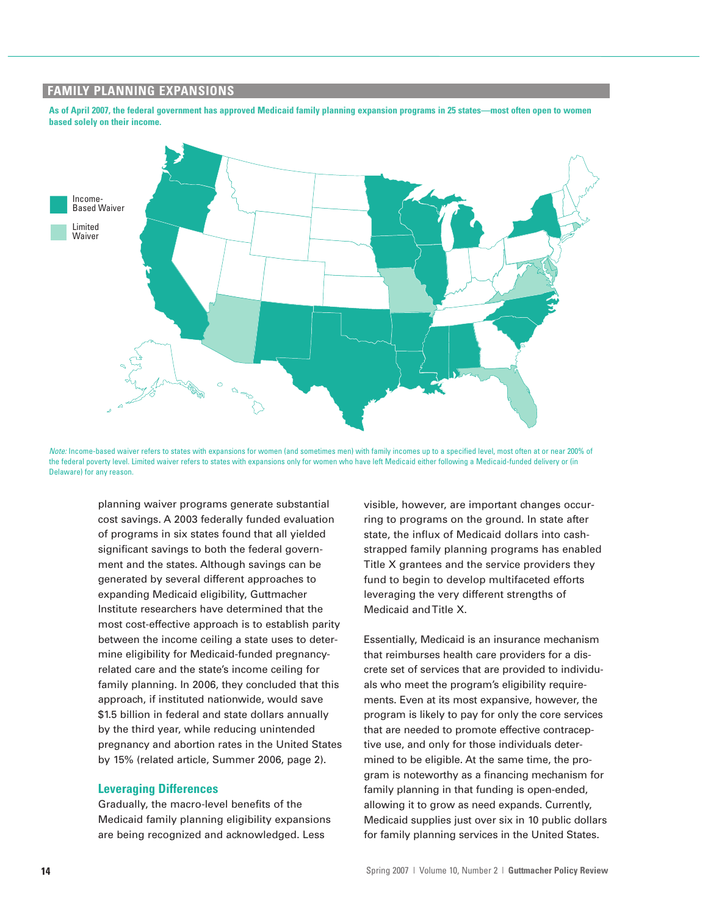# **FAMILY PLANNING EXPANSIONS**

**As of April 2007, the federal government has approved Medicaid family planning expansion programs in 25 states—most often open to women based solely on their income.**



Note: Income-based waiver refers to states with expansions for women (and sometimes men) with family incomes up to a specified level, most often at or near 200% of the federal poverty level. Limited waiver refers to states with expansions only for women who have left Medicaid either following a Medicaid-funded delivery or (in Delaware) for any reason.

planning waiver programs generate substantial cost savings. A 2003 federally funded evaluation of programs in six states found that all yielded significant savings to both the federal government and the states. Although savings can be generated by several different approaches to expanding Medicaid eligibility, Guttmacher Institute researchers have determined that the most cost-effective approach is to establish parity between the income ceiling a state uses to determine eligibility for Medicaid-funded pregnancyrelated care and the state's income ceiling for family planning. In 2006, they concluded that this approach, if instituted nationwide, would save \$1.5 billion in federal and state dollars annually by the third year, while reducing unintended pregnancy and abortion rates in the United States by 15% (related article, Summer 2006, page 2).

#### **Leveraging Differences**

Gradually, the macro-level benefits of the Medicaid family planning eligibility expansions are being recognized and acknowledged. Less

visible, however, are important changes occurring to programs on the ground. In state after state, the influx of Medicaid dollars into cashstrapped family planning programs has enabled Title X grantees and the service providers they fund to begin to develop multifaceted efforts leveraging the very different strengths of Medicaid and Title X.

Essentially, Medicaid is an insurance mechanism that reimburses health care providers for a discrete set of services that are provided to individuals who meet the program's eligibility requirements. Even at its most expansive, however, the program is likely to pay for only the core services that are needed to promote effective contraceptive use, and only for those individuals determined to be eligible. At the same time, the program is noteworthy as a financing mechanism for family planning in that funding is open-ended, allowing it to grow as need expands. Currently, Medicaid supplies just over six in 10 public dollars for family planning services in the United States.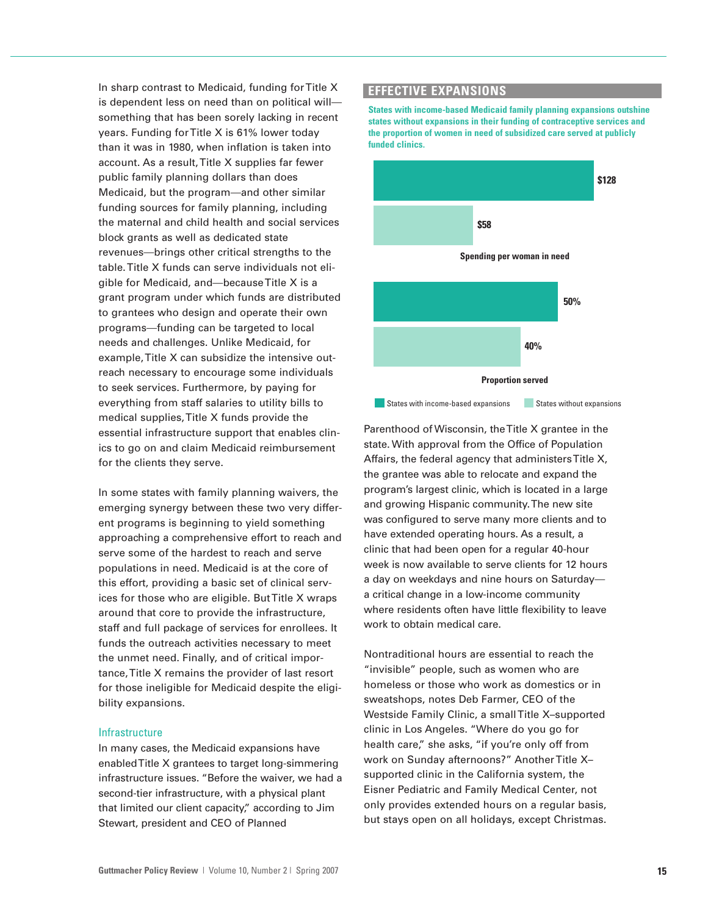In sharp contrast to Medicaid, funding for Title X is dependent less on need than on political will something that has been sorely lacking in recent years. Funding for Title X is 61% lower today than it was in 1980, when inflation is taken into account. As a result, Title X supplies far fewer public family planning dollars than does Medicaid, but the program—and other similar funding sources for family planning, including the maternal and child health and social services block grants as well as dedicated state revenues—brings other critical strengths to the table. Title X funds can serve individuals not eligible for Medicaid, and—because Title X is a grant program under which funds are distributed to grantees who design and operate their own programs—funding can be targeted to local needs and challenges. Unlike Medicaid, for example, Title X can subsidize the intensive outreach necessary to encourage some individuals to seek services. Furthermore, by paying for everything from staff salaries to utility bills to medical supplies, Title X funds provide the essential infrastructure support that enables clinics to go on and claim Medicaid reimbursement for the clients they serve.

In some states with family planning waivers, the emerging synergy between these two very different programs is beginning to yield something approaching a comprehensive effort to reach and serve some of the hardest to reach and serve populations in need. Medicaid is at the core of this effort, providing a basic set of clinical services for those who are eligible. But Title X wraps around that core to provide the infrastructure, staff and full package of services for enrollees. It funds the outreach activities necessary to meet the unmet need. Finally, and of critical importance, Title X remains the provider of last resort for those ineligible for Medicaid despite the eligibility expansions.

#### Infrastructure

In many cases, the Medicaid expansions have enabled Title X grantees to target long-simmering infrastructure issues. "Before the waiver, we had a second-tier infrastructure, with a physical plant that limited our client capacity," according to Jim Stewart, president and CEO of Planned

# **EFFECTIVE EXPANSIONS**

**States with income-based Medicaid family planning expansions outshine states without expansions in their funding of contraceptive services and the proportion of women in need of subsidized care served at publicly funded clinics.**



Parenthood of Wisconsin, the Title X grantee in the state. With approval from the Office of Population Affairs, the federal agency that administers Title X, the grantee was able to relocate and expand the program's largest clinic, which is located in a large and growing Hispanic community. The new site was configured to serve many more clients and to have extended operating hours. As a result, a clinic that had been open for a regular 40-hour week is now available to serve clients for 12 hours a day on weekdays and nine hours on Saturday a critical change in a low-income community where residents often have little flexibility to leave work to obtain medical care.

Nontraditional hours are essential to reach the "invisible" people, such as women who are homeless or those who work as domestics or in sweatshops, notes Deb Farmer, CEO of the Westside Family Clinic, a small Title X–supported clinic in Los Angeles. "Where do you go for health care," she asks, "if you're only off from work on Sunday afternoons?" Another Title X– supported clinic in the California system, the Eisner Pediatric and Family Medical Center, not only provides extended hours on a regular basis, but stays open on all holidays, except Christmas.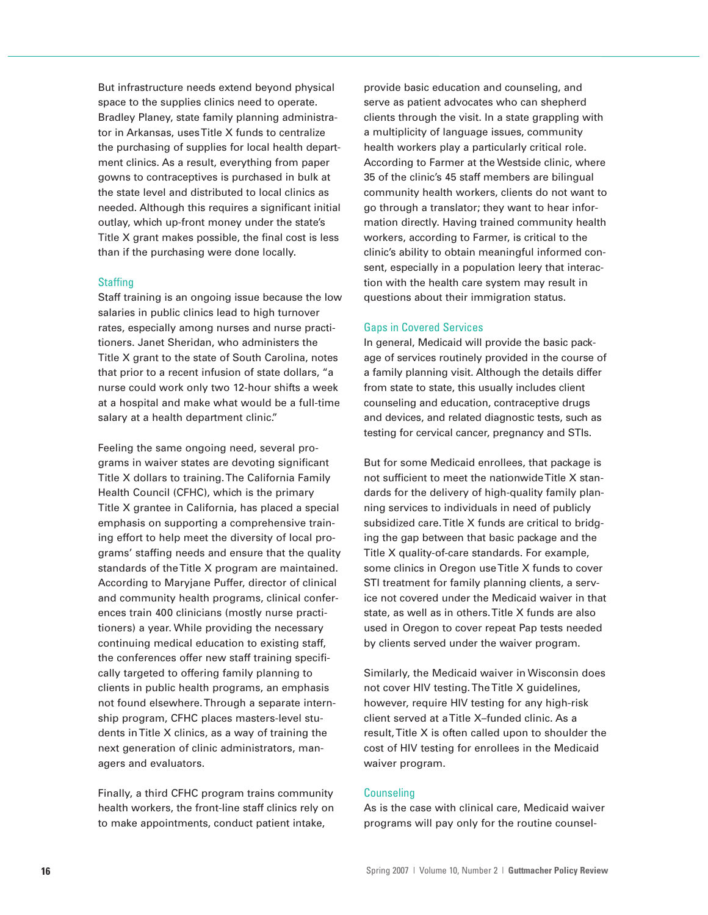But infrastructure needs extend beyond physical space to the supplies clinics need to operate. Bradley Planey, state family planning administrator in Arkansas, uses Title X funds to centralize the purchasing of supplies for local health department clinics. As a result, everything from paper gowns to contraceptives is purchased in bulk at the state level and distributed to local clinics as needed. Although this requires a significant initial outlay, which up-front money under the state's Title X grant makes possible, the final cost is less than if the purchasing were done locally.

#### **Staffing**

Staff training is an ongoing issue because the low salaries in public clinics lead to high turnover rates, especially among nurses and nurse practitioners. Janet Sheridan, who administers the Title X grant to the state of South Carolina, notes that prior to a recent infusion of state dollars, "a nurse could work only two 12-hour shifts a week at a hospital and make what would be a full-time salary at a health department clinic."

Feeling the same ongoing need, several programs in waiver states are devoting significant Title X dollars to training. The California Family Health Council (CFHC), which is the primary Title X grantee in California, has placed a special emphasis on supporting a comprehensive training effort to help meet the diversity of local programs' staffing needs and ensure that the quality standards of the Title X program are maintained. According to Maryjane Puffer, director of clinical and community health programs, clinical conferences train 400 clinicians (mostly nurse practitioners) a year. While providing the necessary continuing medical education to existing staff, the conferences offer new staff training specifically targeted to offering family planning to clients in public health programs, an emphasis not found elsewhere. Through a separate internship program, CFHC places masters-level students in Title X clinics, as a way of training the next generation of clinic administrators, managers and evaluators.

Finally, a third CFHC program trains community health workers, the front-line staff clinics rely on to make appointments, conduct patient intake,

provide basic education and counseling, and serve as patient advocates who can shepherd clients through the visit. In a state grappling with a multiplicity of language issues, community health workers play a particularly critical role. According to Farmer at the Westside clinic, where 35 of the clinic's 45 staff members are bilingual community health workers, clients do not want to go through a translator; they want to hear information directly. Having trained community health workers, according to Farmer, is critical to the clinic's ability to obtain meaningful informed consent, especially in a population leery that interaction with the health care system may result in questions about their immigration status.

## Gaps in Covered Services

In general, Medicaid will provide the basic package of services routinely provided in the course of a family planning visit. Although the details differ from state to state, this usually includes client counseling and education, contraceptive drugs and devices, and related diagnostic tests, such as testing for cervical cancer, pregnancy and STIs.

But for some Medicaid enrollees, that package is not sufficient to meet the nationwide Title X standards for the delivery of high-quality family planning services to individuals in need of publicly subsidized care. Title X funds are critical to bridging the gap between that basic package and the Title X quality-of-care standards. For example, some clinics in Oregon use Title X funds to cover STI treatment for family planning clients, a service not covered under the Medicaid waiver in that state, as well as in others. Title X funds are also used in Oregon to cover repeat Pap tests needed by clients served under the waiver program.

Similarly, the Medicaid waiver in Wisconsin does not cover HIV testing. The Title X guidelines, however, require HIV testing for any high-risk client served at a Title X–funded clinic. As a result, Title X is often called upon to shoulder the cost of HIV testing for enrollees in the Medicaid waiver program.

#### **Counseling**

As is the case with clinical care, Medicaid waiver programs will pay only for the routine counsel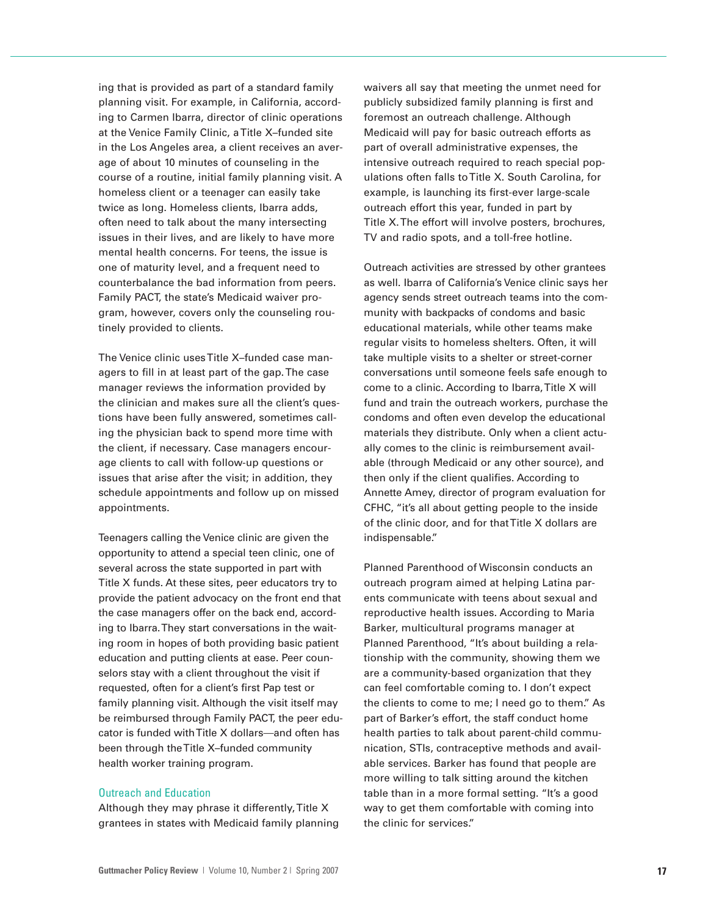ing that is provided as part of a standard family planning visit. For example, in California, according to Carmen Ibarra, director of clinic operations at the Venice Family Clinic, a Title X–funded site in the Los Angeles area, a client receives an average of about 10 minutes of counseling in the course of a routine, initial family planning visit. A homeless client or a teenager can easily take twice as long. Homeless clients, Ibarra adds, often need to talk about the many intersecting issues in their lives, and are likely to have more mental health concerns. For teens, the issue is one of maturity level, and a frequent need to counterbalance the bad information from peers. Family PACT, the state's Medicaid waiver program, however, covers only the counseling routinely provided to clients.

The Venice clinic uses Title X–funded case managers to fill in at least part of the gap. The case manager reviews the information provided by the clinician and makes sure all the client's questions have been fully answered, sometimes calling the physician back to spend more time with the client, if necessary. Case managers encourage clients to call with follow-up questions or issues that arise after the visit; in addition, they schedule appointments and follow up on missed appointments.

Teenagers calling the Venice clinic are given the opportunity to attend a special teen clinic, one of several across the state supported in part with Title X funds. At these sites, peer educators try to provide the patient advocacy on the front end that the case managers offer on the back end, according to Ibarra. They start conversations in the waiting room in hopes of both providing basic patient education and putting clients at ease. Peer counselors stay with a client throughout the visit if requested, often for a client's first Pap test or family planning visit. Although the visit itself may be reimbursed through Family PACT, the peer educator is funded with Title X dollars—and often has been through the Title X–funded community health worker training program.

### Outreach and Education

Although they may phrase it differently, Title X grantees in states with Medicaid family planning waivers all say that meeting the unmet need for publicly subsidized family planning is first and foremost an outreach challenge. Although Medicaid will pay for basic outreach efforts as part of overall administrative expenses, the intensive outreach required to reach special populations often falls to Title X. South Carolina, for example, is launching its first-ever large-scale outreach effort this year, funded in part by Title X. The effort will involve posters, brochures, TV and radio spots, and a toll-free hotline.

Outreach activities are stressed by other grantees as well. Ibarra of California's Venice clinic says her agency sends street outreach teams into the community with backpacks of condoms and basic educational materials, while other teams make regular visits to homeless shelters. Often, it will take multiple visits to a shelter or street-corner conversations until someone feels safe enough to come to a clinic. According to Ibarra, Title X will fund and train the outreach workers, purchase the condoms and often even develop the educational materials they distribute. Only when a client actually comes to the clinic is reimbursement available (through Medicaid or any other source), and then only if the client qualifies. According to Annette Amey, director of program evaluation for CFHC, "it's all about getting people to the inside of the clinic door, and for that Title X dollars are indispensable."

Planned Parenthood of Wisconsin conducts an outreach program aimed at helping Latina parents communicate with teens about sexual and reproductive health issues. According to Maria Barker, multicultural programs manager at Planned Parenthood, "It's about building a relationship with the community, showing them we are a community-based organization that they can feel comfortable coming to. I don't expect the clients to come to me; I need go to them." As part of Barker's effort, the staff conduct home health parties to talk about parent-child communication, STIs, contraceptive methods and available services. Barker has found that people are more willing to talk sitting around the kitchen table than in a more formal setting. "It's a good way to get them comfortable with coming into the clinic for services."